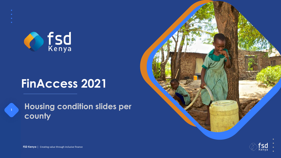





## **FinAccess 2021**

**Housing condition slides per county**

**11 FSD Kenya** | Creating value through inclusive finance

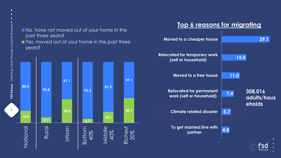

**Nes, moved out of your home in the past three** years?



 $\bullet$ 



| Moved to a cheaper house                                   |      |                               |
|------------------------------------------------------------|------|-------------------------------|
| <b>Relocated for temporary work</b><br>(self or household) | 15.0 |                               |
| Moved to a free house                                      | 11.0 |                               |
| <b>Relocated for permanent</b><br>work (self or household) | 7.4  | 308,016<br>adults/h<br>eholds |
| Climate related disaster                                   | 5.7  |                               |
| To get married/live with<br>partner                        | 4.8  |                               |



### **Top 6 reasons for migrating**





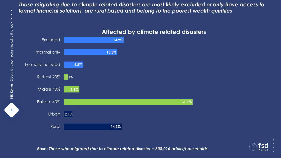**31.9%**











**Affected by climate related disasters**

*Those migrating due to climate related disasters are most likely excluded or only have access to* 

### *formal financial solutions, are rural based and belong to the poorest wealth quintiles*

*Base: Those who migrated due to climate related disaster = 308,016 adults/households*

 $\mathbf{3}$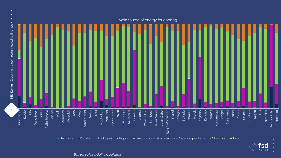





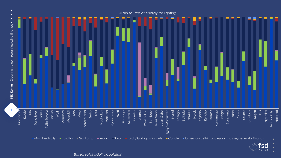











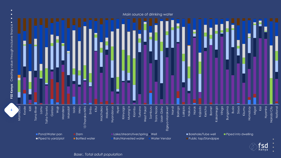



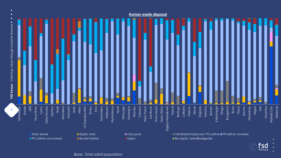



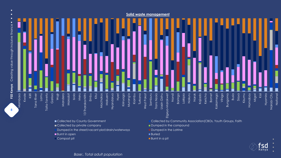





- Dumped in the street/vacant plot/drain/waterways **Dumped in the Latrine**
- Burnt in open Buried and Buried and Buried and Buried and Buried and Buried and Buried and Buried and Buried
- 

- 
- 
- 
- 
- **Compost pit Burnt in a pit and the set of the set of the set of the set of the Burnt in a pit**

![](_page_7_Picture_10.jpeg)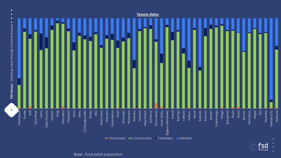![](_page_8_Picture_4.jpeg)

![](_page_8_Figure_0.jpeg)

![](_page_8_Picture_3.jpeg)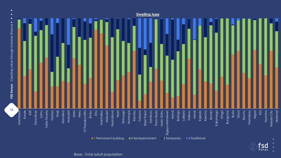![](_page_9_Picture_4.jpeg)

![](_page_9_Figure_0.jpeg)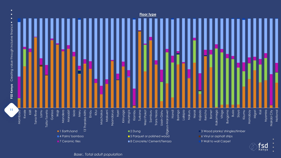![](_page_10_Picture_2.jpeg)

![](_page_10_Figure_0.jpeg)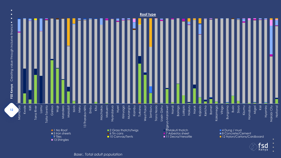![](_page_11_Figure_0.jpeg)

![](_page_11_Picture_2.jpeg)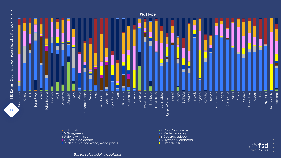![](_page_12_Figure_0.jpeg)

- 
- 
- 
- 
- 19 Off cuts/Reused wood/Wood planks 19 Inches 10 Iron sheets

![](_page_12_Picture_9.jpeg)

![](_page_12_Picture_10.jpeg)

![](_page_12_Picture_11.jpeg)

**1 No walls 2 Cane/palm/trunks** ■ 3 Grass/reeds and a set of the set of the set of the set of the set of the set of the set of the set of the set of the set of the set of the set of the set of the set of the set of the set of the set of the set of the s 6 Covered adobe ■7 Uncovered adobe 8 Plywood/Cardboard

![](_page_12_Picture_8.jpeg)